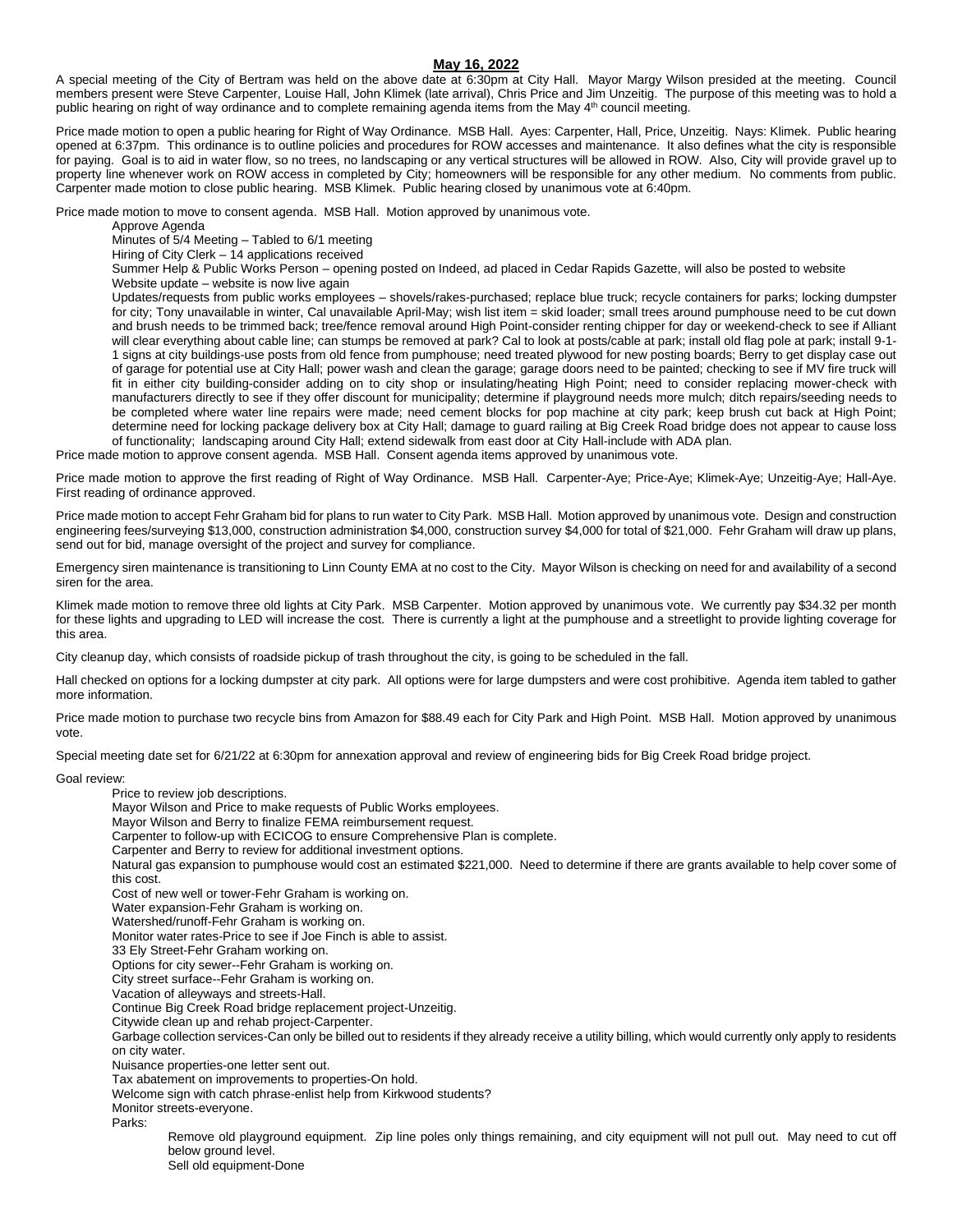## **May 16, 2022**

A special meeting of the City of Bertram was held on the above date at 6:30pm at City Hall. Mayor Margy Wilson presided at the meeting. Council members present were Steve Carpenter, Louise Hall, John Klimek (late arrival), Chris Price and Jim Unzeitig. The purpose of this meeting was to hold a public hearing on right of way ordinance and to complete remaining agenda items from the May 4<sup>th</sup> council meeting.

Price made motion to open a public hearing for Right of Way Ordinance. MSB Hall. Ayes: Carpenter, Hall, Price, Unzeitig. Nays: Klimek. Public hearing opened at 6:37pm. This ordinance is to outline policies and procedures for ROW accesses and maintenance. It also defines what the city is responsible for paying. Goal is to aid in water flow, so no trees, no landscaping or any vertical structures will be allowed in ROW. Also, City will provide gravel up to property line whenever work on ROW access in completed by City; homeowners will be responsible for any other medium. No comments from public. Carpenter made motion to close public hearing. MSB Klimek. Public hearing closed by unanimous vote at 6:40pm.

Price made motion to move to consent agenda. MSB Hall. Motion approved by unanimous vote.

Approve Agenda

Minutes of 5/4 Meeting – Tabled to 6/1 meeting

Hiring of City Clerk  $-$  14 applications received

Summer Help & Public Works Person – opening posted on Indeed, ad placed in Cedar Rapids Gazette, will also be posted to website Website update – website is now live again

Updates/requests from public works employees – shovels/rakes-purchased; replace blue truck; recycle containers for parks; locking dumpster for city; Tony unavailable in winter, Cal unavailable April-May; wish list item = skid loader; small trees around pumphouse need to be cut down and brush needs to be trimmed back; tree/fence removal around High Point-consider renting chipper for day or weekend-check to see if Alliant will clear everything about cable line; can stumps be removed at park? Cal to look at posts/cable at park; install old flag pole at park; install 9-1-1 signs at city buildings-use posts from old fence from pumphouse; need treated plywood for new posting boards; Berry to get display case out of garage for potential use at City Hall; power wash and clean the garage; garage doors need to be painted; checking to see if MV fire truck will fit in either city building-consider adding on to city shop or insulating/heating High Point; need to consider replacing mower-check with manufacturers directly to see if they offer discount for municipality; determine if playground needs more mulch; ditch repairs/seeding needs to be completed where water line repairs were made; need cement blocks for pop machine at city park; keep brush cut back at High Point; determine need for locking package delivery box at City Hall; damage to guard railing at Big Creek Road bridge does not appear to cause loss of functionality; landscaping around City Hall; extend sidewalk from east door at City Hall-include with ADA plan.

Price made motion to approve consent agenda. MSB Hall. Consent agenda items approved by unanimous vote.

Price made motion to approve the first reading of Right of Way Ordinance. MSB Hall. Carpenter-Aye; Price-Aye; Klimek-Aye; Unzeitig-Aye; Hall-Aye. First reading of ordinance approved.

Price made motion to accept Fehr Graham bid for plans to run water to City Park. MSB Hall. Motion approved by unanimous vote. Design and construction engineering fees/surveying \$13,000, construction administration \$4,000, construction survey \$4,000 for total of \$21,000. Fehr Graham will draw up plans, send out for bid, manage oversight of the project and survey for compliance.

Emergency siren maintenance is transitioning to Linn County EMA at no cost to the City. Mayor Wilson is checking on need for and availability of a second siren for the area.

Klimek made motion to remove three old lights at City Park. MSB Carpenter. Motion approved by unanimous vote. We currently pay \$34.32 per month for these lights and upgrading to LED will increase the cost. There is currently a light at the pumphouse and a streetlight to provide lighting coverage for this area.

City cleanup day, which consists of roadside pickup of trash throughout the city, is going to be scheduled in the fall.

Hall checked on options for a locking dumpster at city park. All options were for large dumpsters and were cost prohibitive. Agenda item tabled to gather more information.

Price made motion to purchase two recycle bins from Amazon for \$88.49 each for City Park and High Point. MSB Hall. Motion approved by unanimous vote.

Special meeting date set for 6/21/22 at 6:30pm for annexation approval and review of engineering bids for Big Creek Road bridge project.

Goal review:

Price to review job descriptions. Mayor Wilson and Price to make requests of Public Works employees. Mayor Wilson and Berry to finalize FEMA reimbursement request. Carpenter to follow-up with ECICOG to ensure Comprehensive Plan is complete. Carpenter and Berry to review for additional investment options. Natural gas expansion to pumphouse would cost an estimated \$221,000. Need to determine if there are grants available to help cover some of this cost. Cost of new well or tower-Fehr Graham is working on. Water expansion-Fehr Graham is working on. Watershed/runoff-Fehr Graham is working on. Monitor water rates-Price to see if Joe Finch is able to assist. 33 Ely Street-Fehr Graham working on. Options for city sewer--Fehr Graham is working on. City street surface--Fehr Graham is working on. Vacation of alleyways and streets-Hall. Continue Big Creek Road bridge replacement project-Unzeitig. Citywide clean up and rehab project-Carpenter. Garbage collection services-Can only be billed out to residents if they already receive a utility billing, which would currently only apply to residents on city water. Nuisance properties-one letter sent out. Tax abatement on improvements to properties-On hold. Welcome sign with catch phrase-enlist help from Kirkwood students? Monitor streets-everyone. Parks: Remove old playground equipment. Zip line poles only things remaining, and city equipment will not pull out. May need to cut off below ground level. Sell old equipment-Done